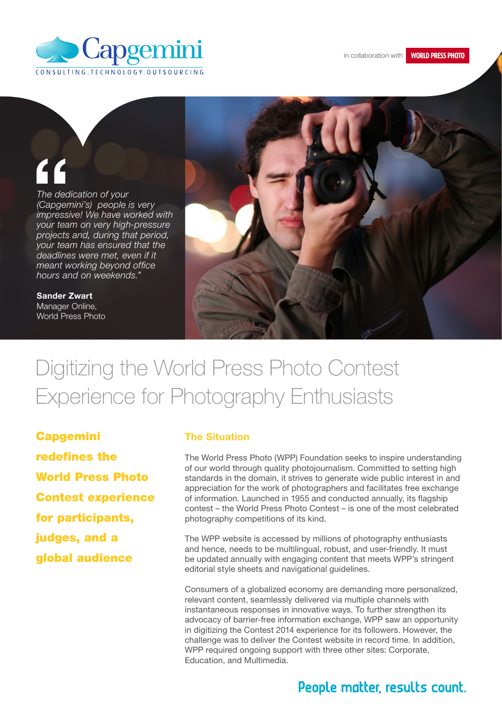

**WORLD PRESS PHOTO** 

*The dedication of your (Capgemini's) people is very impressive! We have worked with your team on very high-pressure projects and, during that period, your team has ensured that the deadlines were met, even if it meant working beyond office hours and on weekends."* The ded<br>
(Capgen<br>
impressi<br>
your teal<br>
projects

Sander Zwart Manager Online, World Press Photo



# Digitizing the World Press Photo Contest Experience for Photography Enthusiasts

Capgemini redefines the World Press Photo Contest experience for participants, judges, and a global audience

#### The Situation

The World Press Photo (WPP) Foundation seeks to inspire understanding of our world through quality photojournalism. Committed to setting high standards in the domain, it strives to generate wide public interest in and appreciation for the work of photographers and facilitates free exchange of information. Launched in 1955 and conducted annually, its flagship contest – the World Press Photo Contest – is one of the most celebrated photography competitions of its kind.

The WPP website is accessed by millions of photography enthusiasts and hence, needs to be multilingual, robust, and user-friendly. It must be updated annually with engaging content that meets WPP's stringent editorial style sheets and navigational guidelines.

Consumers of a globalized economy are demanding more personalized, relevant content, seamlessly delivered via multiple channels with instantaneous responses in innovative ways. To further strengthen its advocacy of barrier-free information exchange, WPP saw an opportunity in digitizing the Contest 2014 experience for its followers. However, the challenge was to deliver the Contest website in record time. In addition, WPP required ongoing support with three other sites: Corporate, Education, and Multimedia.

## People matter, results count.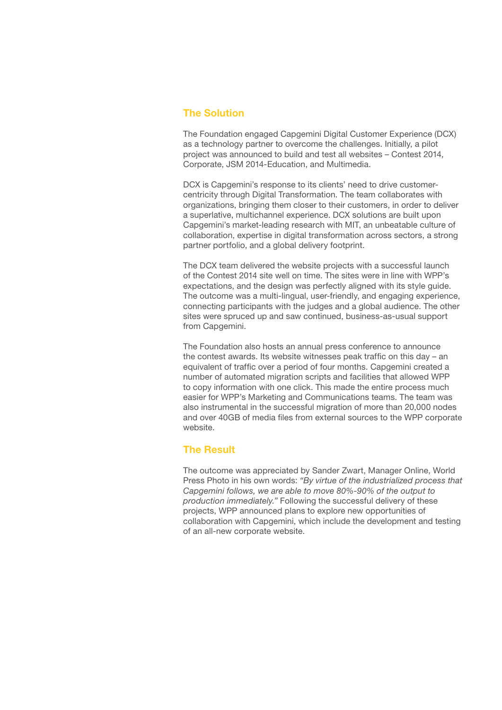#### The Solution

The Foundation engaged Capgemini Digital Customer Experience (DCX) as a technology partner to overcome the challenges. Initially, a pilot project was announced to build and test all websites – Contest 2014, Corporate, JSM 2014-Education, and Multimedia.

DCX is Capgemini's response to its clients' need to drive customercentricity through Digital Transformation. The team collaborates with organizations, bringing them closer to their customers, in order to deliver a superlative, multichannel experience. DCX solutions are built upon Capgemini's market-leading research with MIT, an unbeatable culture of collaboration, expertise in digital transformation across sectors, a strong partner portfolio, and a global delivery footprint.

The DCX team delivered the website projects with a successful launch of the Contest 2014 site well on time. The sites were in line with WPP's expectations, and the design was perfectly aligned with its style guide. The outcome was a multi-lingual, user-friendly, and engaging experience, connecting participants with the judges and a global audience. The other sites were spruced up and saw continued, business-as-usual support from Capgemini.

The Foundation also hosts an annual press conference to announce the contest awards. Its website witnesses peak traffic on this day – an equivalent of traffic over a period of four months. Capgemini created a number of automated migration scripts and facilities that allowed WPP to copy information with one click. This made the entire process much easier for WPP's Marketing and Communications teams. The team was also instrumental in the successful migration of more than 20,000 nodes and over 40GB of media files from external sources to the WPP corporate website.

### The Result

The outcome was appreciated by Sander Zwart, Manager Online, World Press Photo in his own words: *"By virtue of the industrialized process that Capgemini follows, we are able to move 80%-90% of the output to production immediately."* Following the successful delivery of these projects, WPP announced plans to explore new opportunities of collaboration with Capgemini, which include the development and testing of an all-new corporate website.